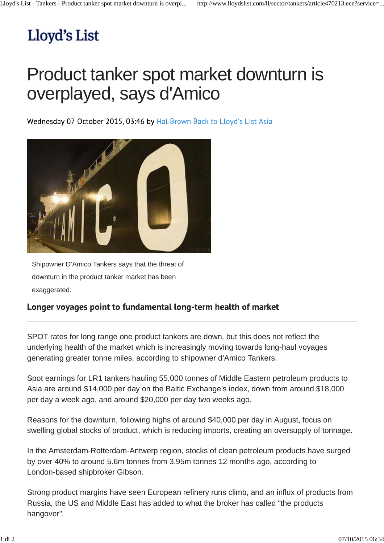## Lloyd's List

## Product tanker spot market downturn is overplayed, says d'Amico

Wednesday 07 October 2015, 03:46 by Hal Brown Back to Lloyd's List Asia



Shipowner D'Amico Tankers says that the threat of downturn in the product tanker market has been exaggerated.

## Longer voyages point to fundamental long-term health of market

SPOT rates for long range one product tankers are down, but this does not reflect the underlying health of the market which is increasingly moving towards long-haul voyages generating greater tonne miles, according to shipowner d'Amico Tankers.

Spot earnings for LR1 tankers hauling 55,000 tonnes of Middle Eastern petroleum products to Asia are around \$14,000 per day on the Baltic Exchange's index, down from around \$18,000 per day a week ago, and around \$20,000 per day two weeks ago.

Reasons for the downturn, following highs of around \$40,000 per day in August, focus on swelling global stocks of product, which is reducing imports, creating an oversupply of tonnage.

In the Amsterdam-Rotterdam-Antwerp region, stocks of clean petroleum products have surged by over 40% to around 5.6m tonnes from 3.95m tonnes 12 months ago, according to London-based shipbroker Gibson.

Strong product margins have seen European refinery runs climb, and an influx of products from Russia, the US and Middle East has added to what the broker has called "the products hangover".